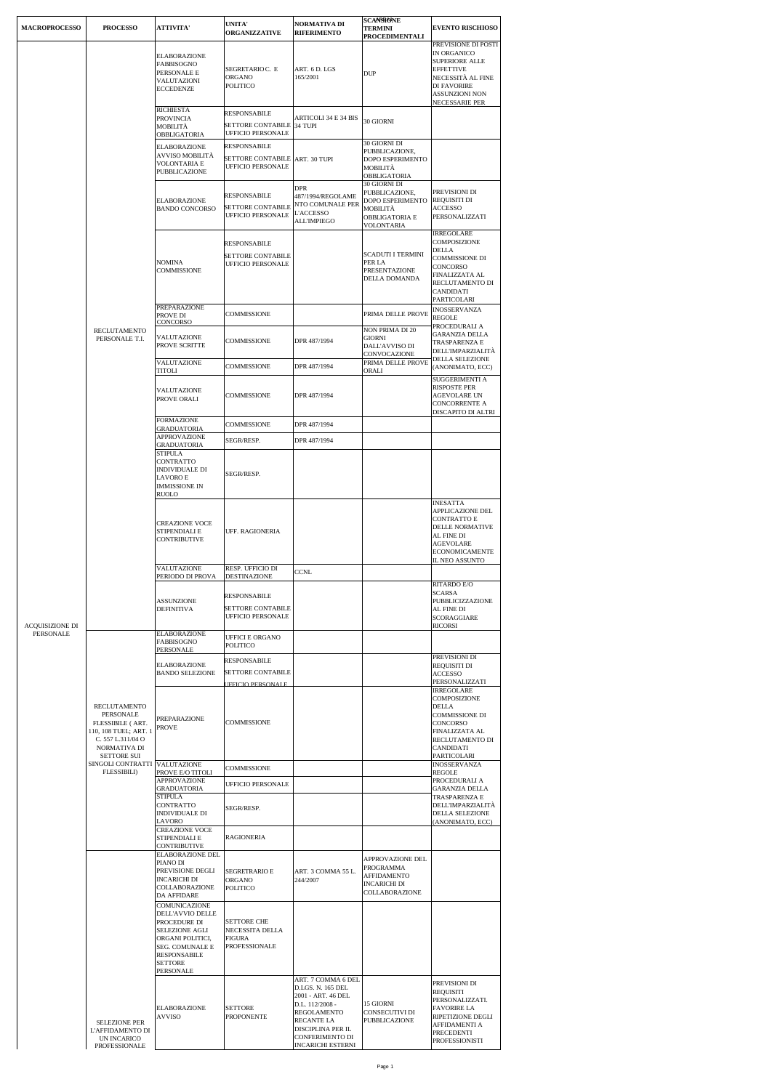| <b>MACROPROCESSO</b> | <b>PROCESSO</b>                                                                                                                                                                           | <b>ATTIVITA'</b>                                                                                                                                                 | <b>UNITA'</b><br><b>ORGANIZZATIVE</b>                                       | NORMATIVA DI<br><b>RIFERIMENTO</b>                                                                                                                                                       | <b>SCANSIONE</b><br>TERMINI<br>PROCEDIMENTALI                                                  | <b>EVENTO RISCHIOSO</b>                                                                                                                                        |
|----------------------|-------------------------------------------------------------------------------------------------------------------------------------------------------------------------------------------|------------------------------------------------------------------------------------------------------------------------------------------------------------------|-----------------------------------------------------------------------------|------------------------------------------------------------------------------------------------------------------------------------------------------------------------------------------|------------------------------------------------------------------------------------------------|----------------------------------------------------------------------------------------------------------------------------------------------------------------|
|                      |                                                                                                                                                                                           | <b>ELABORAZIONE</b><br>FABBISOGNO<br>PERSONALE E<br>VALUTAZIONI<br><b>ECCEDENZE</b>                                                                              | SEGRETARIO C. E<br>ORGANO<br>POLITICO                                       | ART. 6 D. LGS<br>165/2001                                                                                                                                                                | DUP                                                                                            | PREVISIONE DI POSTI<br>IN ORGANICO<br>SUPERIORE ALLE<br><b>EFFETTIVE</b><br>NECESSITÀ AL FINE<br><b>DI FAVORIRE</b><br>ASSUNZIONI NON<br><b>NECESSARIE PER</b> |
|                      |                                                                                                                                                                                           | <b>RICHIESTA</b><br><b>PROVINCIA</b><br>MOBILITA<br>OBBLIGATORIA                                                                                                 | RESPONSABILE<br>SETTORE CONTABILE<br><b>UFFICIO PERSONALE</b>               | ARTICOLI 34 E 34 BIS<br>34 TUPI                                                                                                                                                          | 30 GIORNI                                                                                      |                                                                                                                                                                |
|                      |                                                                                                                                                                                           | <b>ELABORAZIONE</b><br>AVVISO MOBILITÀ<br>VOLONTARIA E<br>PUBBLICAZIONE                                                                                          | RESPONSABILE<br>SETTORE CONTABILE<br><b>UFFICIO PERSONALE</b>               | ART. 30 TUPI<br>DPR                                                                                                                                                                      | 30 GIORNI DI<br>PUBBLICAZIONE,<br>DOPO ESPERIMENTO<br>MOBILITÀ<br>OBBLIGATORIA<br>30 GIORNI DI |                                                                                                                                                                |
|                      |                                                                                                                                                                                           | ELABORAZIONE<br><b>BANDO CONCORSO</b>                                                                                                                            | <b>RESPONSABILE</b><br><b>SETTORE CONTABILE</b><br>UFFICIO PERSONALE        | 487/1994/REGOLAME<br>NTO COMUNALE PER<br><b>L'ACCESSO</b><br><b>ALL'IMPIEGO</b>                                                                                                          | PUBBLICAZIONE,<br>DOPO ESPERIMENTO<br>MOBILITÀ<br><b>OBBLIGATORIA E</b><br>VOLONTARIA          | PREVISIONI DI<br>REQUISITI DI<br><b>ACCESSO</b><br>PERSONALIZZATI                                                                                              |
|                      |                                                                                                                                                                                           | <b>NOMINA</b><br>COMMISSIONE                                                                                                                                     | RESPONSABILE<br><b>SETTORE CONTABILE</b><br><b>UFFICIO PERSONALE</b>        |                                                                                                                                                                                          | <b>SCADUTI I TERMINI</b><br>PER LA<br>PRESENTAZIONE<br>DELLA DOMANDA                           | <b>IRREGOLARE</b><br>COMPOSIZIONE<br>DELLA<br>COMMISSIONE DI<br>CONCORSO<br>FINALIZZATA AL<br>RECLUTAMENTO DI<br>CANDIDATI<br>PARTICOLARI                      |
|                      |                                                                                                                                                                                           | PREPARAZIONE<br>PROVE DI<br>CONCORSO                                                                                                                             | COMMISSIONE                                                                 |                                                                                                                                                                                          | PRIMA DELLE PROVE                                                                              | <b>INOSSERVANZA</b><br><b>REGOLE</b>                                                                                                                           |
|                      | RECLUTAMENTO<br>PERSONALE T.I.                                                                                                                                                            | VALUTAZIONE<br>PROVE SCRITTE                                                                                                                                     | <b>COMMISSIONE</b>                                                          | DPR 487/1994                                                                                                                                                                             | <b>NON PRIMA DI 20</b><br><b>GIORNI</b><br>DALL'AVVISO DI<br>CONVOCAZIONE                      | PROCEDURALI A<br>GARANZIA DELLA<br>TRASPARENZA E<br>DELL'IMPARZIALITÀ                                                                                          |
|                      |                                                                                                                                                                                           | VALUTAZIONE<br><b>TITOLI</b>                                                                                                                                     | <b>COMMISSIONE</b>                                                          | DPR 487/1994                                                                                                                                                                             | PRIMA DELLE PROVE<br>ORALI                                                                     | DELLA SELEZIONE<br>(ANONIMATO, ECC)<br>SUGGERIMENTI A                                                                                                          |
|                      |                                                                                                                                                                                           | VALUTAZIONE<br>PROVE ORALI                                                                                                                                       | <b>COMMISSIONE</b>                                                          | DPR 487/1994                                                                                                                                                                             |                                                                                                | <b>RISPOSTE PER</b><br><b>AGEVOLARE UN</b><br>CONCORRENTE A<br>DISCAPITO DI ALTRI                                                                              |
|                      |                                                                                                                                                                                           | <b>FORMAZIONE</b><br><b>GRADUATORIA</b>                                                                                                                          | COMMISSIONE                                                                 | DPR 487/1994                                                                                                                                                                             |                                                                                                |                                                                                                                                                                |
|                      |                                                                                                                                                                                           | APPROVAZIONE<br><b>GRADUATORIA</b><br><b>STIPULA</b>                                                                                                             | SEGR/RESP.                                                                  | DPR 487/1994                                                                                                                                                                             |                                                                                                |                                                                                                                                                                |
|                      |                                                                                                                                                                                           | CONTRATTO<br>INDIVIDUALE DI<br>LAVORO E<br><b>IMMISSIONE IN</b><br>RUOLO                                                                                         | SEGR/RESP.                                                                  |                                                                                                                                                                                          |                                                                                                |                                                                                                                                                                |
|                      |                                                                                                                                                                                           | <b>CREAZIONE VOCE</b><br>STIPENDIALI E<br><b>CONTRIBUTIVE</b>                                                                                                    | UFF. RAGIONERIA                                                             |                                                                                                                                                                                          |                                                                                                | <b>INESATTA</b><br>APPLICAZIONE DEL<br><b>CONTRATTO E</b><br>DELLE NORMATIVE<br>AL FINE DI<br><b>AGEVOLARE</b><br><b>ECONOMICAMENTE</b><br>IL NEO ASSUNTO      |
|                      |                                                                                                                                                                                           | VALUTAZIONE<br>PERIODO DI PROVA                                                                                                                                  | RESP. UFFICIO DI<br>DESTINAZIONE                                            | CCNL                                                                                                                                                                                     |                                                                                                |                                                                                                                                                                |
| ACQUISIZIONE DI      |                                                                                                                                                                                           | <b>ASSUNZIONE</b><br><b>DEFINITIVA</b>                                                                                                                           | RESPONSABILE<br><b>SETTORE CONTABILE</b><br><b>UFFICIO PERSONALE</b>        |                                                                                                                                                                                          |                                                                                                | RITARDO E/O<br>SCARSA<br>PUBBLICIZZAZIONE<br>AL FINE DI<br>SCORAGGIARE<br><b>RICORSI</b>                                                                       |
| PERSONALE            |                                                                                                                                                                                           | <b>ELABORAZIONE</b><br>FABBISOGNO<br>PERSONALE                                                                                                                   | <b>UFFICI E ORGANO</b><br><b>POLITICO</b>                                   |                                                                                                                                                                                          |                                                                                                |                                                                                                                                                                |
|                      | RECLUTAMENTO<br>PERSONALE<br>FLESSIBILE ( ART.<br>110, 108 TUEL; ART. 1<br>C. 557 L.311/04 O<br>NORMATIVA DI<br><b>SETTORE SUI</b><br>SINGOLI CONTRATTI VALUTAZIONE<br><b>FLESSIBILI)</b> | <b>ELABORAZIONE</b><br><b>BANDO SELEZIONE</b>                                                                                                                    | <b>RESPONSABILE</b><br><b>SETTORE CONTABILE</b><br><b>JEFICIO PERSONALE</b> |                                                                                                                                                                                          |                                                                                                | PREVISIONI DI<br>REQUISITI DI<br><b>ACCESSO</b><br>PERSONALIZZATI                                                                                              |
|                      |                                                                                                                                                                                           | PREPARAZIONE<br><b>PROVE</b>                                                                                                                                     | <b>COMMISSIONE</b>                                                          |                                                                                                                                                                                          |                                                                                                | <b>IRREGOLARE</b><br>COMPOSIZIONE<br>DELLA<br><b>COMMISSIONE DI</b><br>CONCORSO<br>FINALIZZATA AL<br>RECLUTAMENTO DI<br>CANDIDATI<br>PARTICOLARI               |
|                      |                                                                                                                                                                                           | PROVE E/O TITOLI                                                                                                                                                 | <b>COMMISSIONE</b>                                                          |                                                                                                                                                                                          |                                                                                                | <b>INOSSERVANZA</b><br><b>REGOLE</b>                                                                                                                           |
|                      |                                                                                                                                                                                           | APPROVAZIONE<br><b>GRADUATORIA</b><br><b>STIPULA</b><br>CONTRATTO<br>INDIVIDUALE DI                                                                              | UFFICIO PERSONALE<br>SEGR/RESP.                                             |                                                                                                                                                                                          |                                                                                                | PROCEDURALI A<br>GARANZIA DELLA<br>TRASPARENZA E<br>DELL'IMPARZIALITÀ<br>DELLA SELEZIONE                                                                       |
|                      |                                                                                                                                                                                           | LAVORO<br><b>CREAZIONE VOCE</b><br>STIPENDIALI E<br>CONTRIBUTIVE                                                                                                 | RAGIONERIA                                                                  |                                                                                                                                                                                          |                                                                                                | (ANONIMATO, ECC)                                                                                                                                               |
|                      | <b>SELEZIONE PER</b><br>L'AFFIDAMENTO DI<br>UN INCARICO<br>PROFESSIONALE                                                                                                                  | ELABORAZIONE DEL<br>PIANO DI<br>PREVISIONE DEGLI<br><b>INCARICHI DI</b><br>COLLABORAZIONE<br>DA AFFIDARE                                                         | <b>SEGRETRARIO E</b><br>ORGANO<br>POLITICO                                  | ART. 3 COMMA 55 L.<br>244/2007                                                                                                                                                           | APPROVAZIONE DEL<br>PROGRAMMA<br><b>AFFIDAMENTO</b><br><b>INCARICHI DI</b><br>COLLABORAZIONE   |                                                                                                                                                                |
|                      |                                                                                                                                                                                           | COMUNICAZIONE<br>DELL'AVVIO DELLE<br>PROCEDURE DI<br>SELEZIONE AGLI<br>ORGANI POLITICI,<br>SEG. COMUNALE E<br><b>RESPONSABILE</b><br><b>SETTORE</b><br>PERSONALE | <b>SETTORE CHE</b><br>NECESSITA DELLA<br>FIGURA<br>PROFESSIONALE            |                                                                                                                                                                                          |                                                                                                |                                                                                                                                                                |
|                      |                                                                                                                                                                                           | <b>ELABORAZIONE</b><br><b>AVVISO</b>                                                                                                                             | <b>SETTORE</b><br><b>PROPONENTE</b>                                         | ART. 7 COMMA 6 DEL<br>D.LGS. N. 165 DEL<br>2001 - ART. 46 DEL<br>D.L. 112/2008 -<br>REGOLAMENTO<br>RECANTE LA<br>DISCIPLINA PER IL<br><b>CONFERIMENTO DI</b><br><b>INCARICHI ESTERNI</b> | 15 GIORNI<br>CONSECUTIVI DI<br>PUBBLICAZIONE                                                   | PREVISIONI DI<br>REQUISITI<br>PERSONALIZZATI.<br><b>FAVORIRE LA</b><br>RIPETIZIONE DEGLI<br>AFFIDAMENTI A<br>PRECEDENTI<br>PROFESSIONISTI                      |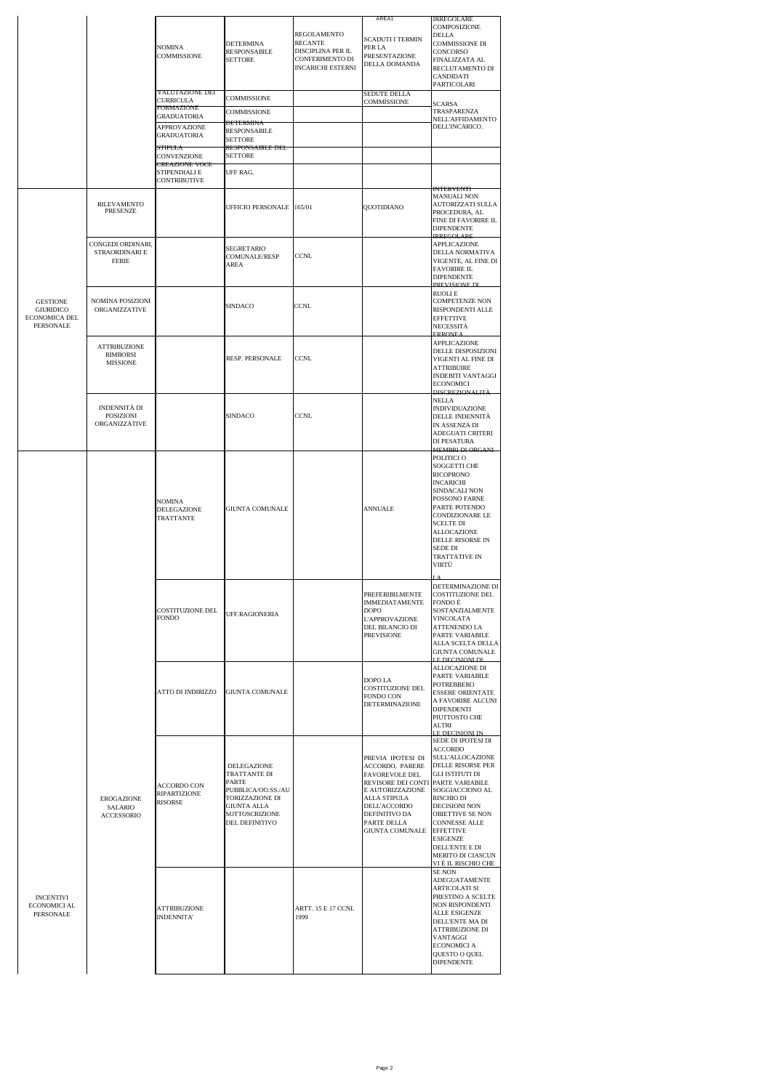|                                                                          |                                                           | <b>NOMINA</b><br><b>COMMISSIONE</b>                                                                                                                   | DETERMINA<br><b>RESPONSABILE</b><br><b>SETTORE</b>                                                                                             | REGOLAMENTO<br><b>RECANTE</b><br>DISCIPLINA PER IL<br><b>CONFERIMENTO DI</b><br><b>INCARICHI ESTERNI</b> | AREA1<br>SCADUTI I TERMIN<br>PER LA<br>PRESENTAZIONE<br>DELLA DOMANDA                                                                                                                      | <b>IRREGOLARE</b><br>COMPOSIZIONE<br><b>DELLA</b><br>COMMISSIONE DI<br>CONCORSO<br>FINALIZZATA AL<br>RECLUTAMENTO DI<br>CANDIDATI<br>PARTICOLARI                                                                                                                                                                                     |
|--------------------------------------------------------------------------|-----------------------------------------------------------|-------------------------------------------------------------------------------------------------------------------------------------------------------|------------------------------------------------------------------------------------------------------------------------------------------------|----------------------------------------------------------------------------------------------------------|--------------------------------------------------------------------------------------------------------------------------------------------------------------------------------------------|--------------------------------------------------------------------------------------------------------------------------------------------------------------------------------------------------------------------------------------------------------------------------------------------------------------------------------------|
|                                                                          |                                                           | <b>VALUTAZIONE DEI</b><br><b>CURRICULA</b><br><b>FORMAZIONE</b><br><b>GRADUATORIA</b><br>APPROVAZIONE<br><b>GRADUATORIA</b><br>STIPULA<br>CONVENZIONE | COMMISSIONE<br><b>COMMISSIONE</b><br><b>DETERMINA</b><br><b>RESPONSABILE</b><br><b>SETTORE</b><br><b>RESPONSABILE DEL</b><br><b>SETTORE</b>    |                                                                                                          | SEDUTE DELLA<br><b>COMMISSIONE</b>                                                                                                                                                         | SCARSA<br>TRASPARENZA<br>NELL'AFFIDAMENTO<br>DELL'INCARICO.                                                                                                                                                                                                                                                                          |
|                                                                          |                                                           | <b>CREAZIONE VOCE</b><br>STIPENDIALI E<br><b>CONTRIBUTIVE</b>                                                                                         | UFF RAG.                                                                                                                                       |                                                                                                          |                                                                                                                                                                                            |                                                                                                                                                                                                                                                                                                                                      |
|                                                                          | RILEVAMENTO<br>PRESENZE                                   |                                                                                                                                                       | UFFICIO PERSONALE 165/01                                                                                                                       |                                                                                                          | QUOTIDIANO                                                                                                                                                                                 | <b>INTERVENTI</b><br><b>MANUALI NON</b><br>AUTORIZZATI SULLA<br>PROCEDURA, AL<br>FINE DI FAVORIRE IL<br><b>DIPENDENTE</b><br><b>IRREGOLARE</b>                                                                                                                                                                                       |
| <b>GESTIONE</b><br><b>GIURIDICO</b><br><b>ECONOMICA DEL</b><br>PERSONALE | CONGEDI ORDINARI,<br>STRAORDINARI E<br>FERIE              |                                                                                                                                                       | SEGRETARIO<br>COMUNALE/RESP<br>AREA                                                                                                            | <b>CCNL</b>                                                                                              |                                                                                                                                                                                            | APPLICAZIONE<br>DELLA NORMATIVA<br>VIGENTE, AL FINE DI<br><b>FAVORIRE IL</b><br><b>DIPENDENTE</b><br>PREVISIONE DI                                                                                                                                                                                                                   |
|                                                                          | <b>NOMINA POSIZIONI</b><br>ORGANIZZATIVE                  |                                                                                                                                                       | SINDACO                                                                                                                                        | CCNL                                                                                                     |                                                                                                                                                                                            | <b>RUOLLE</b><br>COMPETENZE NON<br>RISPONDENTI ALLE<br><b>EFFETTIVE</b><br><b>NECESSITA</b><br><b>ERRONEA</b>                                                                                                                                                                                                                        |
|                                                                          | <b>ATTRIBUZIONE</b><br><b>RIMBORSI</b><br><b>MISSIONE</b> |                                                                                                                                                       | RESP. PERSONALE                                                                                                                                | CCNL                                                                                                     |                                                                                                                                                                                            | APPLICAZIONE<br>DELLE DISPOSIZIONI<br>VIGENTI AL FINE DI<br>ATTRIBUIRE<br><b>INDEBITI VANTAGGI</b><br><b>ECONOMICI</b><br>DISCREZIONALITÀ                                                                                                                                                                                            |
|                                                                          | INDENNITÀ DI<br>POSIZIONI<br>ORGANIZZATIVE                |                                                                                                                                                       | SINDACO                                                                                                                                        | <b>CCNL</b>                                                                                              |                                                                                                                                                                                            | <b>NELLA</b><br><b>INDIVIDUAZIONE</b><br>DELLE INDENNITÀ<br>IN ASSENZA DI<br>ADEGUATI CRITERI<br>DI PESATURA<br><b>MEMBRI DI ORGANI</b>                                                                                                                                                                                              |
|                                                                          |                                                           | NOMINA<br>DELEGAZIONE<br>TRATTANTE                                                                                                                    | GIUNTA COMUNALE                                                                                                                                |                                                                                                          | <b>ANNUALE</b>                                                                                                                                                                             | POLITICI O<br>SOGGETTI CHE<br><b>RICOPRONO</b><br><b>INCARICHI</b><br>SINDACALI NON<br>POSSONO FARNE<br>PARTE POTENDO<br><b>CONDIZIONARE LE</b><br><b>SCELTE DI</b><br>ALLOCAZIONE<br>DELLE RISORSE IN<br><b>SEDE DI</b><br>TRATTATIVE IN<br>VIRTÙ                                                                                   |
|                                                                          |                                                           | COSTITUZIONE DEL<br><b>FONDO</b>                                                                                                                      | UFF.RAGIONERIA                                                                                                                                 |                                                                                                          | PREFERIBILMENTE<br><b>IMMEDIATAMENTE</b><br><b>DOPO</b><br><b>L'APPROVAZIONE</b><br>DEL BILANCIO DI<br><b>PREVISIONE</b>                                                                   | DETERMINAZIONE DI<br>COSTITUZIONE DEL<br>FONDO È<br>SOSTANZIALMENTE<br>VINCOLATA<br>ATTENENDO LA<br>PARTE VARIABILE<br>ALLA SCELTA DELLA<br><b>GIUNTA COMUNALE</b><br><b>LE DECISIONLDL</b>                                                                                                                                          |
|                                                                          |                                                           | ATTO DI INDIRIZZO                                                                                                                                     | <b>GIUNTA COMUNALE</b>                                                                                                                         |                                                                                                          | DOPO LA<br><b>COSTITUZIONE DEL</b><br><b>FONDO CON</b><br><b>DETERMINAZIONE</b>                                                                                                            | ALLOCAZIONE DI<br>PARTE VARIABILE<br><b>POTREBBERO</b><br><b>ESSERE ORIENTATE</b><br>A FAVORIRE ALCUNI<br><b>DIPENDENTI</b><br>PIUTTOSTO CHE<br>ALTRI<br>LE DECISIONI IN                                                                                                                                                             |
|                                                                          | EROGAZIONE<br>SALARIO<br>ACCESSORIO                       | <b>ACCORDO CON</b><br><b>RIPARTIZIONE</b><br><b>RISORSE</b>                                                                                           | DELEGAZIONE<br>TRATTANTE DI<br><b>PARTE</b><br>PUBBLICA/OO.SS./AU<br>TORIZZAZIONE DI<br><b>GIUNTA ALLA</b><br>SOTTOSCRIZIONE<br>DEL DEFINITIVO |                                                                                                          | PREVIA IPOTESI DI<br>ACCORDO, PARERE<br>FAVOREVOLE DEL<br>REVISORE DEI CONTI<br>E AUTORIZZAZIONE<br>ALLA STIPULA<br>DELL'ACCORDO<br>DEFINITIVO DA<br>PARTE DELLA<br><b>GIUNTA COMUNALE</b> | SEDE DI IPOTESI DI<br><b>ACCORDO</b><br><b>SULL'ALLOCAZIONE</b><br>DELLE RISORSE PER<br><b>GLI ISTITUTI DI</b><br>PARTE VARIABILE<br>SOGGIACCIONO AL<br>RISCHIO DI<br>DECISIONI NON<br>OBIETTIVE SE NON<br><b>CONNESSE ALLE</b><br><b>EFFETTIVE</b><br><b>ESIGENZE</b><br>DELL'ENTE E DI<br>MERITO DI CIASCUN<br>VI È IL RISCHIO CHE |
| INCENTIVI<br>ECONOMICI AL<br>PERSONALE                                   |                                                           | <b>ATTRIBUZIONE</b><br>INDENNITA'                                                                                                                     |                                                                                                                                                | ARTT. 15 E 17 CCNL<br>1999                                                                               |                                                                                                                                                                                            | <b>SE NON</b><br>ADEGUATAMENTE<br>ARTICOLATI SI<br>PRESTINO A SCELTE<br>NON RISPONDENTI<br>ALLE ESIGENZE<br>DELL'ENTE MA DI<br><b>ATTRIBUZIONE DI</b><br>VANTAGGI<br><b>ECONOMICIA</b><br>QUESTO O QUEL<br><b>DIPENDENTE</b>                                                                                                         |